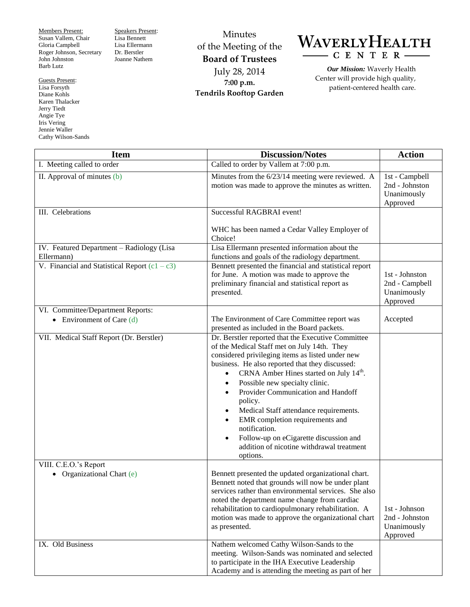Members Present: Susan Vallem, Chair Gloria Campbell Roger Johnson, Secretary John Johnston Barb Lutz

Guests Present: Lisa Forsyth Diane Kohls Karen Thalacker Jerry Tiedt Angie Tye Iris Vering Jennie Waller Cathy Wilson-Sands

L

Speakers Present: Lisa Bennett Lisa Ellermann Dr. Berstler Joanne Nathem

Minutes of the Meeting of the **Board of Trustees** July 28, 2014 **7:00 p.m. Tendrils Rooftop Garden**



*Our Mission:* Waverly Health Center will provide high quality, patient-centered health care.

| <b>Item</b>                                                      | <b>Discussion/Notes</b>                                                                                                                                                                                                                                                                                                                                                                                                                                                                                                                                          | <b>Action</b>                                               |
|------------------------------------------------------------------|------------------------------------------------------------------------------------------------------------------------------------------------------------------------------------------------------------------------------------------------------------------------------------------------------------------------------------------------------------------------------------------------------------------------------------------------------------------------------------------------------------------------------------------------------------------|-------------------------------------------------------------|
| I. Meeting called to order                                       | Called to order by Vallem at 7:00 p.m.                                                                                                                                                                                                                                                                                                                                                                                                                                                                                                                           |                                                             |
| II. Approval of minutes (b)                                      | Minutes from the 6/23/14 meeting were reviewed. A<br>motion was made to approve the minutes as written.                                                                                                                                                                                                                                                                                                                                                                                                                                                          | 1st - Campbell<br>2nd - Johnston<br>Unanimously<br>Approved |
| III. Celebrations                                                | Successful RAGBRAI event!                                                                                                                                                                                                                                                                                                                                                                                                                                                                                                                                        |                                                             |
|                                                                  | WHC has been named a Cedar Valley Employer of<br>Choice!                                                                                                                                                                                                                                                                                                                                                                                                                                                                                                         |                                                             |
| IV. Featured Department - Radiology (Lisa<br>Ellermann)          | Lisa Ellermann presented information about the<br>functions and goals of the radiology department.                                                                                                                                                                                                                                                                                                                                                                                                                                                               |                                                             |
| V. Financial and Statistical Report $(c1 - c3)$                  | Bennett presented the financial and statistical report<br>for June. A motion was made to approve the<br>preliminary financial and statistical report as<br>presented.                                                                                                                                                                                                                                                                                                                                                                                            | 1st - Johnston<br>2nd - Campbell<br>Unanimously<br>Approved |
| VI. Committee/Department Reports:<br>• Environment of Care $(d)$ | The Environment of Care Committee report was<br>presented as included in the Board packets.                                                                                                                                                                                                                                                                                                                                                                                                                                                                      | Accepted                                                    |
| VII. Medical Staff Report (Dr. Berstler)                         | Dr. Berstler reported that the Executive Committee<br>of the Medical Staff met on July 14th. They<br>considered privileging items as listed under new<br>business. He also reported that they discussed:<br>CRNA Amber Hines started on July 14 <sup>th</sup> .<br>Possible new specialty clinic.<br>$\bullet$<br>Provider Communication and Handoff<br>policy.<br>Medical Staff attendance requirements.<br>EMR completion requirements and<br>notification.<br>Follow-up on eCigarette discussion and<br>addition of nicotine withdrawal treatment<br>options. |                                                             |
| VIII. C.E.O.'s Report<br>• Organizational Chart $(e)$            | Bennett presented the updated organizational chart.<br>Bennett noted that grounds will now be under plant<br>services rather than environmental services. She also<br>noted the department name change from cardiac<br>rehabilitation to cardiopulmonary rehabilitation. A<br>motion was made to approve the organizational chart<br>as presented.                                                                                                                                                                                                               | 1st - Johnson<br>2nd - Johnston<br>Unanimously<br>Approved  |
| IX. Old Business                                                 | Nathem welcomed Cathy Wilson-Sands to the<br>meeting. Wilson-Sands was nominated and selected<br>to participate in the IHA Executive Leadership<br>Academy and is attending the meeting as part of her                                                                                                                                                                                                                                                                                                                                                           |                                                             |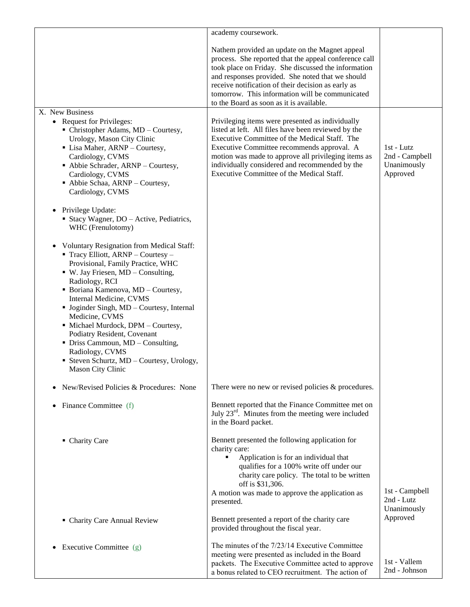|                                                                                                                                                                                                                                                                                                                                                                                                                                                                                                                                                | academy coursework.                                                                                                                                                                                                                                                                                                                                                     |                                                         |
|------------------------------------------------------------------------------------------------------------------------------------------------------------------------------------------------------------------------------------------------------------------------------------------------------------------------------------------------------------------------------------------------------------------------------------------------------------------------------------------------------------------------------------------------|-------------------------------------------------------------------------------------------------------------------------------------------------------------------------------------------------------------------------------------------------------------------------------------------------------------------------------------------------------------------------|---------------------------------------------------------|
|                                                                                                                                                                                                                                                                                                                                                                                                                                                                                                                                                | Nathem provided an update on the Magnet appeal<br>process. She reported that the appeal conference call<br>took place on Friday. She discussed the information<br>and responses provided. She noted that we should<br>receive notification of their decision as early as<br>tomorrow. This information will be communicated<br>to the Board as soon as it is available. |                                                         |
| X. New Business<br>• Request for Privileges:<br>• Christopher Adams, MD - Courtesy,<br>Urology, Mason City Clinic<br>• Lisa Maher, ARNP - Courtesy,<br>Cardiology, CVMS<br>Abbie Schrader, ARNP - Courtesy,<br>Cardiology, CVMS<br>• Abbie Schaa, ARNP - Courtesy,<br>Cardiology, CVMS                                                                                                                                                                                                                                                         | Privileging items were presented as individually<br>listed at left. All files have been reviewed by the<br>Executive Committee of the Medical Staff. The<br>Executive Committee recommends approval. A<br>motion was made to approve all privileging items as<br>individually considered and recommended by the<br>Executive Committee of the Medical Staff.            | 1st - Lutz<br>2nd - Campbell<br>Unanimously<br>Approved |
| Privilege Update:<br>$\bullet$<br>• Stacy Wagner, DO – Active, Pediatrics,<br>WHC (Frenulotomy)                                                                                                                                                                                                                                                                                                                                                                                                                                                |                                                                                                                                                                                                                                                                                                                                                                         |                                                         |
| <b>Voluntary Resignation from Medical Staff:</b><br>$\blacksquare$ Tracy Elliott, ARNP – Courtesy –<br>Provisional, Family Practice, WHC<br>$\bullet$ W. Jay Friesen, MD – Consulting,<br>Radiology, RCI<br>• Boriana Kamenova, MD - Courtesy,<br>Internal Medicine, CVMS<br>• Joginder Singh, MD - Courtesy, Internal<br>Medicine, CVMS<br>· Michael Murdock, DPM - Courtesy,<br>Podiatry Resident, Covenant<br>• Driss Cammoun, MD – Consulting,<br>Radiology, CVMS<br>• Steven Schurtz, MD – Courtesy, Urology,<br><b>Mason City Clinic</b> |                                                                                                                                                                                                                                                                                                                                                                         |                                                         |
| New/Revised Policies & Procedures: None<br>$\bullet$                                                                                                                                                                                                                                                                                                                                                                                                                                                                                           | There were no new or revised policies & procedures.                                                                                                                                                                                                                                                                                                                     |                                                         |
| Finance Committee (f)<br>$\bullet$                                                                                                                                                                                                                                                                                                                                                                                                                                                                                                             | Bennett reported that the Finance Committee met on<br>July $23^{\text{rd}}$ . Minutes from the meeting were included<br>in the Board packet.                                                                                                                                                                                                                            |                                                         |
| • Charity Care                                                                                                                                                                                                                                                                                                                                                                                                                                                                                                                                 | Bennett presented the following application for<br>charity care:<br>Application is for an individual that<br>٠<br>qualifies for a 100% write off under our<br>charity care policy. The total to be written<br>off is \$31,306.<br>A motion was made to approve the application as<br>presented.                                                                         | 1st - Campbell<br>2nd - Lutz<br>Unanimously             |
| • Charity Care Annual Review                                                                                                                                                                                                                                                                                                                                                                                                                                                                                                                   | Bennett presented a report of the charity care<br>provided throughout the fiscal year.                                                                                                                                                                                                                                                                                  | Approved                                                |
| Executive Committee (g)<br>$\bullet$                                                                                                                                                                                                                                                                                                                                                                                                                                                                                                           | The minutes of the 7/23/14 Executive Committee<br>meeting were presented as included in the Board<br>packets. The Executive Committee acted to approve<br>a bonus related to CEO recruitment. The action of                                                                                                                                                             | 1st - Vallem<br>2nd - Johnson                           |